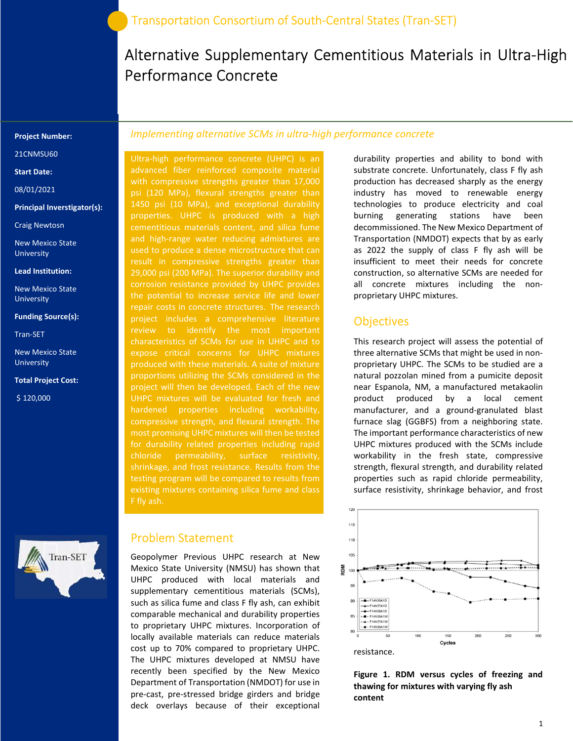# Alternative Supplementary Cementitious Materials in Ultra-High Performance Concrete

#### Project Number:

21CNMSU60

#### Start Date:

08/01/2021

#### Principal Inverstigator(s):

Craig Newtosn

New Mexico State University

Lead Institution:

New Mexico State University

#### Funding Source(s):

Tran-SET

New Mexico State University

#### Total Project Cost:

\$ 120,000



### Implementing alternative SCMs in ultra-high performance concrete

Ultra-high performance concrete (UHPC) is an advanced fiber reinforced composite material with compressive strengths greater than 17,000 psi (120 MPa), flexural strengths greater than 1450 psi (10 MPa), and exceptional durability properties. UHPC is produced with a high cementitious materials content, and silica fume and high-range water reducing admixtures are used to produce a dense microstructure that can result in compressive strengths greater than 29,000 psi (200 MPa). The superior durability and corrosion resistance provided by UHPC provides the potential to increase service life and lower repair costs in concrete structures. The research project includes a comprehensive literature review to identify the most important characteristics of SCMs for use in UHPC and to expose critical concerns for UHPC mixtures proportions utilizing the SCMs considered in the project will then be developed. Each of the new UHPC mixtures will be evaluated for fresh and hardened properties including workability, compressive strength, and flexural strength. The most promising UHPC mixtures will then be tested for durability related properties including rapid chloride permeability, surface resistivity, shrinkage, and frost resistance. Results from the testing program will be compared to results from existing mixtures containing silica fume and class F fly ash.

### Problem Statement

Geopolymer Previous UHPC research at New Mexico State University (NMSU) has shown that UHPC produced with local materials and supplementary cementitious materials (SCMs), such as silica fume and class F fly ash, can exhibit comparable mechanical and durability properties to proprietary UHPC mixtures. Incorporation of locally available materials can reduce materials cost up to 70% compared to proprietary UHPC. The UHPC mixtures developed at NMSU have recently been specified by the New Mexico Department of Transportation (NMDOT) for use in pre-cast, pre-stressed bridge girders and bridge deck overlays because of their exceptional

durability properties and ability to bond with substrate concrete. Unfortunately, class F fly ash production has decreased sharply as the energy industry has moved to renewable energy technologies to produce electricity and coal burning generating stations have been decommissioned. The New Mexico Department of Transportation (NMDOT) expects that by as early as 2022 the supply of class F fly ash will be insufficient to meet their needs for concrete construction, so alternative SCMs are needed for all concrete mixtures including the nonproprietary UHPC mixtures.

### **Objectives**

This research project will assess the potential of three alternative SCMs that might be used in nonproprietary UHPC. The SCMs to be studied are a natural pozzolan mined from a pumicite deposit near Espanola, NM, a manufactured metakaolin product produced by a local cement manufacturer, and a ground-granulated blast furnace slag (GGBFS) from a neighboring state. The important performance characteristics of new UHPC mixtures produced with the SCMs include workability in the fresh state, compressive strength, flexural strength, and durability related properties such as rapid chloride permeability, surface resistivity, shrinkage behavior, and frost



Figure 1. RDM versus cycles of freezing and thawing for mixtures with varying fly ash content